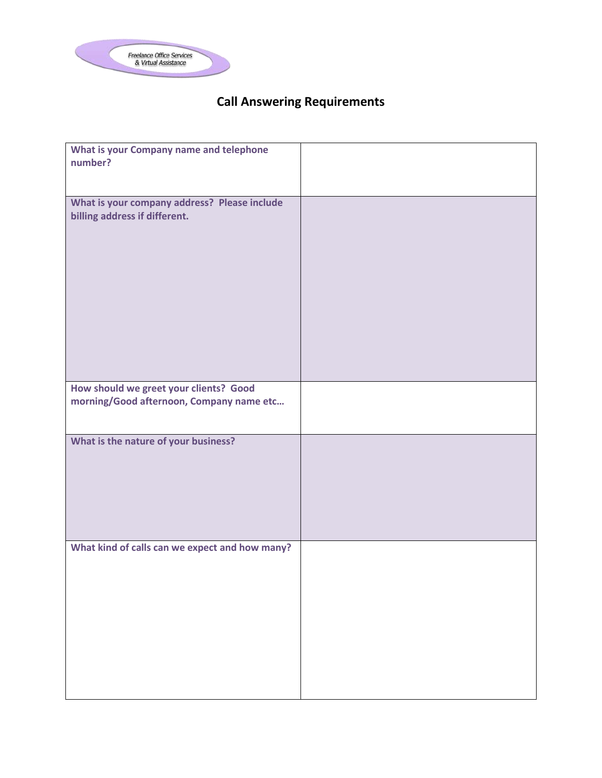

## **Call Answering Requirements**

| What is your Company name and telephone<br>number?                                 |  |
|------------------------------------------------------------------------------------|--|
| What is your company address? Please include<br>billing address if different.      |  |
| How should we greet your clients? Good<br>morning/Good afternoon, Company name etc |  |
| What is the nature of your business?                                               |  |
| What kind of calls can we expect and how many?                                     |  |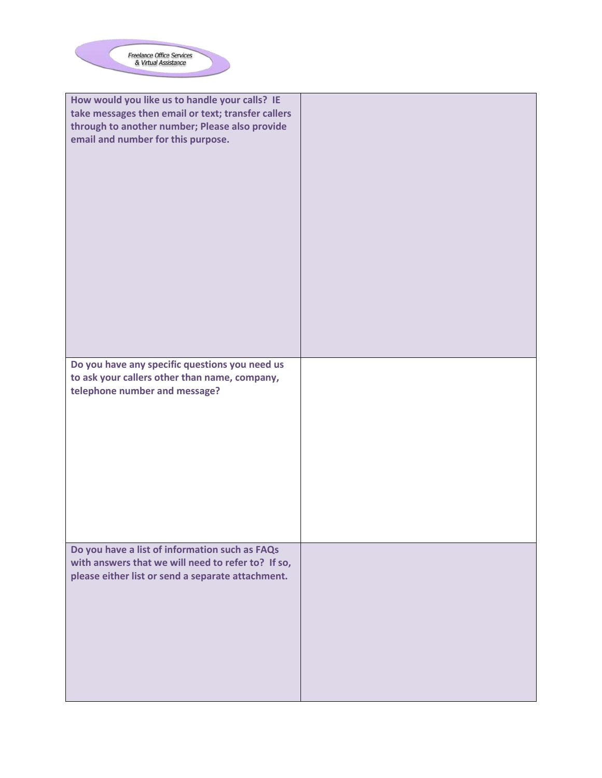

| How would you like us to handle your calls? IE<br>take messages then email or text; transfer callers<br>through to another number; Please also provide<br>email and number for this purpose. |  |
|----------------------------------------------------------------------------------------------------------------------------------------------------------------------------------------------|--|
| Do you have any specific questions you need us<br>to ask your callers other than name, company,<br>telephone number and message?                                                             |  |
| Do you have a list of information such as FAQs<br>with answers that we will need to refer to? If so,<br>please either list or send a separate attachment.                                    |  |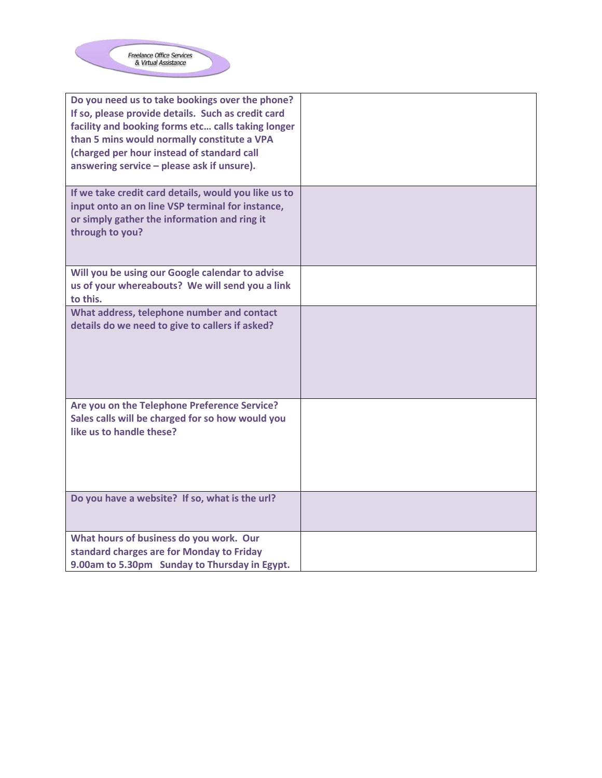

| Do you need us to take bookings over the phone?<br>If so, please provide details. Such as credit card<br>facility and booking forms etc calls taking longer<br>than 5 mins would normally constitute a VPA<br>(charged per hour instead of standard call<br>answering service - please ask if unsure). |  |
|--------------------------------------------------------------------------------------------------------------------------------------------------------------------------------------------------------------------------------------------------------------------------------------------------------|--|
| If we take credit card details, would you like us to<br>input onto an on line VSP terminal for instance,<br>or simply gather the information and ring it<br>through to you?                                                                                                                            |  |
| Will you be using our Google calendar to advise<br>us of your whereabouts? We will send you a link<br>to this.                                                                                                                                                                                         |  |
| What address, telephone number and contact<br>details do we need to give to callers if asked?                                                                                                                                                                                                          |  |
| Are you on the Telephone Preference Service?<br>Sales calls will be charged for so how would you<br>like us to handle these?                                                                                                                                                                           |  |
| Do you have a website? If so, what is the url?                                                                                                                                                                                                                                                         |  |
| What hours of business do you work. Our                                                                                                                                                                                                                                                                |  |
| standard charges are for Monday to Friday                                                                                                                                                                                                                                                              |  |
| 9.00am to 5.30pm Sunday to Thursday in Egypt.                                                                                                                                                                                                                                                          |  |